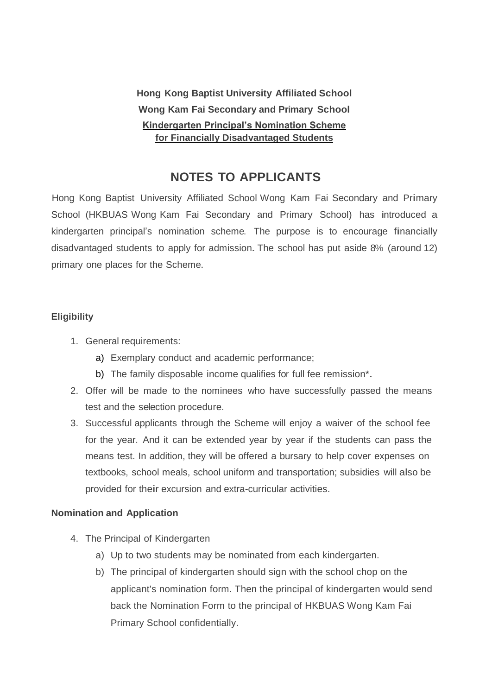**Hong Kong Baptist University Affiliated School Wong Kam Fai Secondary and Primary School Kindergarten Principal's Nomination Scheme for Financially Disadvantaged Students**

# **NOTES TO APPLICANTS**

Hong Kong Baptist University Affiliated School Wong Kam Fai Secondary and Primary School (HKBUAS Wong Kam Fai Secondary and Primary School) has introduced a kindergarten principal's nomination scheme. The purpose is to encourage financially disadvantaged students to apply for admission. The school has put aside 8% (around 12) primary one places for the Scheme.

### **Eligibility**

- 1. General requirements:
	- a) Exemplary conduct and academic performance;
	- b) The family disposable income qualifies for full fee remission\*.
- 2. Offer will be made to the nominees who have successfully passed the means test and the selection procedure.
- 3. Successful applicants through the Scheme will enjoy <sup>a</sup> waiver of the school fee for the year. And it can be extended year by year if the students can pass the means test. In addition, they will be offered a bursary to help cover expenses on textbooks, school meals, school uniform and transportation; subsidies will also be provided for their excursion and extra-curricular activities.

#### **Nomination and Application**

- 4. The Principal of Kindergarten
	- a) Up to two students may be nominated from each kindergarten.
	- b) The principal of kindergarten should sign with the school chop on the applicant's nomination form. Then the principal of kindergarten would send back the Nomination Form to the principal of HKBUAS Wong Kam Fai Primary School confidentially.